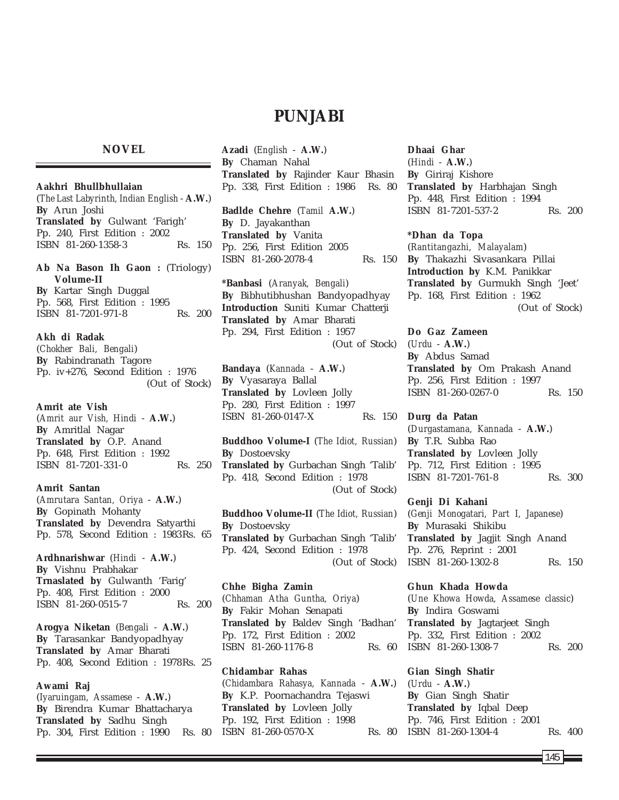## **PUNJABI**

## **NOVEL**

**Aakhri Bhullbhullaian** (*The Last Labyrinth, Indian English* - **A.W.**) **By** Arun Joshi **Translated by** Gulwant 'Farigh' Pp. 240, First Edition : 2002 ISBN 81-260-1358-3 Rs. 150 **Ab Na Bason Ih Gaon :** (Triology) **Volume-II By** Kartar Singh Duggal

Pp. 568, First Edition : 1995 ISBN 81-7201-971-8 Rs. 200

## **Akh di Radak**

(*Chokher Bali, Bengali*) **By** Rabindranath Tagore Pp. iv+276, Second Edition : 1976 (Out of Stock)

**Amrit ate Vish** (*Amrit aur Vish, Hindi* - **A.W.**) **By** Amritlal Nagar **Translated by** O.P. Anand Pp. 648, First Edition : 1992 ISBN 81-7201-331-0 Rs. 250

## **Amrit Santan**

(*Amrutara Santan, Oriya* - **A.W.**) **By** Gopinath Mohanty **Translated by** Devendra Satyarthi Pp. 578, Second Edition : 1983Rs. 65

**Ardhnarishwar** (*Hindi* - **A.W.**) **By** Vishnu Prabhakar **Trnaslated by** Gulwanth 'Farig' Pp. 408, First Edition : 2000 ISBN 81-260-0515-7 Rs. 200

**Arogya Niketan** (*Bengali* - **A.W.**) **By** Tarasankar Bandyopadhyay **Translated by** Amar Bharati Pp. 408, Second Edition : 1978Rs. 25

## **Awami Raj**

(*Iyaruingam, Assamese* - **A.W.**) **By** Birendra Kumar Bhattacharya **Translated by** Sadhu Singh Pp. 304, First Edition : 1990 Rs. 80 **Azadi** (*English* - **A.W.**) **By** Chaman Nahal **Translated by** Rajinder Kaur Bhasin Pp. 338, First Edition : 1986 Rs. 80

**Badlde Chehre** (*Tamil* **A.W.**) **By** D. Jayakanthan **Translated by** Vanita Pp. 256, First Edition 2005 ISBN 81-260-2078-4 Rs. 150

**\*Banbasi** (*Aranyak, Bengali*) **By** Bibhutibhushan Bandyopadhyay **Introduction** Suniti Kumar Chatterji **Translated by** Amar Bharati Pp. 294, First Edition : 1957 (Out of Stock)

**Bandaya** (*Kannada* - **A.W.**) **By** Vyasaraya Ballal **Translated by** Lovleen Jolly Pp. 280, First Edition : 1997 ISBN 81-260-0147-X Rs. 150

**Buddhoo Volume-I** (*The Idiot, Russian*) **By** Dostoevsky **Translated by** Gurbachan Singh 'Talib' Pp. 418, Second Edition : 1978 (Out of Stock)

**Buddhoo Volume-II** (*The Idiot, Russian*) **By** Dostoevsky **Translated by** Gurbachan Singh 'Talib' Pp. 424, Second Edition : 1978 (Out of Stock)

**Chhe Bigha Zamin** (*Chhaman Atha Guntha, Oriya*) **By** Fakir Mohan Senapati **Translated by** Baldev Singh 'Badhan' Pp. 172, First Edition : 2002 ISBN 81-260-1176-8 Rs. 60

**Chidambar Rahas** (*Chidambara Rahasya, Kannada* - **A.W.**) **By** K.P. Poornachandra Tejaswi **Translated by** Lovleen Jolly Pp. 192, First Edition : 1998 ISBN 81-260-0570-X

**Dhaai Ghar** (*Hindi* - **A.W.**) **By** Giriraj Kishore **Translated by** Harbhajan Singh Pp. 448, First Edition : 1994 ISBN 81-7201-537-2 Rs. 200

**\*Dhan da Topa** (*Rantitangazhi, Malayalam*) **By** Thakazhi Sivasankara Pillai **Introduction by** K.M. Panikkar **Translated by** Gurmukh Singh 'Jeet' Pp. 168, First Edition : 1962

(Out of Stock)

**Do Gaz Zameen** (*Urdu* - **A.W.**) **By** Abdus Samad **Translated by** Om Prakash Anand Pp. 256, First Edition : 1997 ISBN 81-260-0267-0 Rs. 150

**Durg da Patan** (*Durgastamana, Kannada* - **A.W.**) **By** T.R. Subba Rao **Translated by** Lovleen Jolly Pp. 712, First Edition : 1995 ISBN 81-7201-761-8 Rs. 300

**Genji Di Kahani** (*Genji Monogatari, Part I, Japanese*) **By** Murasaki Shikibu **Translated by** Jagjit Singh Anand Pp. 276, Reprint : 2001 ISBN 81-260-1302-8 Rs. 150

**Ghun Khada Howda** (*Une Khowa Howda, Assamese classic*) **By** Indira Goswami **Translated by** Jagtarjeet Singh Pp. 332, First Edition : 2002 ISBN 81-260-1308-7 Rs. 200

**Gian Singh Shatir** (*Urdu* - **A.W.**) **By** Gian Singh Shatir **Translated by** Iqbal Deep Pp. 746, First Edition : 2001 Rs. 80 ISBN 81-260-1304-4 Rs. 400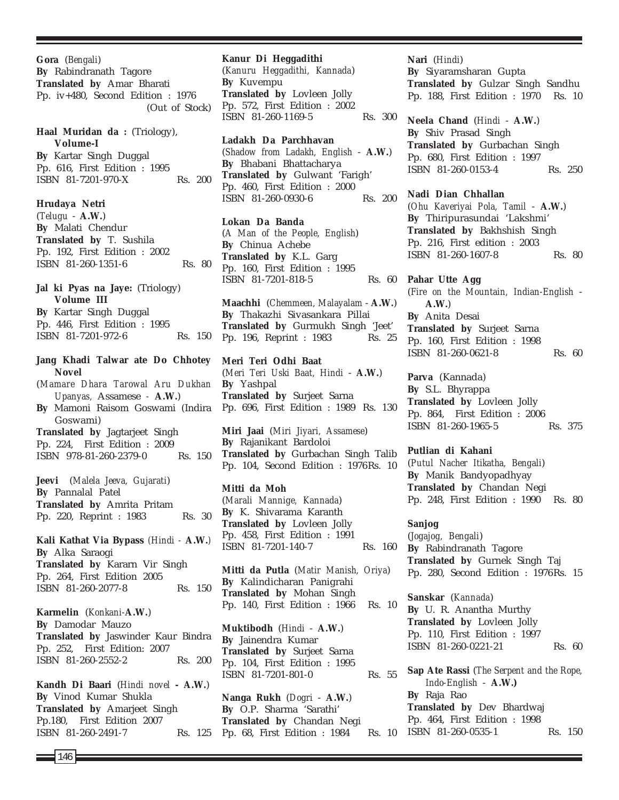**Gora** (*Bengali*) **By** Rabindranath Tagore **Translated by** Amar Bharati Pp. iv+480, Second Edition : 1976 (Out of Stock)

## Haal Muridan da : (Triology), **Volume-I By** Kartar Singh Duggal Pp. 616, First Edition : 1995 ISBN 81-7201-970-X Rs. 200

**Hrudaya Netri**

(*Telugu* - **A.W.**) **By** Malati Chendur **Translated by** T. Sushila Pp. 192, First Edition : 2002 ISBN 81-260-1351-6 Rs. 80

**Jal ki Pyas na Jaye:** (Triology) **Volume III By** Kartar Singh Duggal

Pp. 446, First Edition : 1995 ISBN 81-7201-972-6 Rs. 150

**Jang Khadi Talwar ate Do Chhotey Novel** (*Mamare Dhara Tarowal Aru Dukhan Upanyas,* Assamese *-* **A.W.**) **By** Mamoni Raisom Goswami (Indira Goswami) **Translated by** Jagtarjeet Singh Pp. 224, First Edition : 2009 ISBN 978-81-260-2379-0 Rs. 150 **Jeevi** (*Malela Jeeva, Gujarati*) **By** Pannalal Patel **Translated by** Amrita Pritam Pp. 220, Reprint : 1983 Rs. 30 **Kali Kathat Via Bypass** *(Hindi -* **A.W.***)* **By** Alka Saraogi **Translated by** Kararn Vir Singh Pp. 264, First Edition 2005 ISBN 81-260-2077-8 Rs. 150 **Karmelin** (*Konkani-***A.W.**) **By** Damodar Mauzo **Translated by** Jaswinder Kaur Bindra Pp. 252, First Edition: 2007 ISBN 81-260-2552-2 Rs. 200 **Kandh Di Baari** (*Hindi novel* **- A.W.**) **By** Vinod Kumar Shukla **Translated by** Amarjeet Singh Pp.180, First Edition 2007 ISBN 81-260-2491-7 Rs. 125

#### **Kanur Di Heggadithi**

(*Kanuru Heggadithi, Kannada*) **By** Kuvempu **Translated by** Lovleen Jolly Pp. 572, First Edition : 2002 ISBN 81-260-1169-5 Rs. 300

**Ladakh Da Parchhavan** (*Shadow from Ladakh, English* - **A.W.**) **By** Bhabani Bhattacharya **Translated by** Gulwant 'Farigh' Pp. 460, First Edition : 2000 ISBN 81-260-0930-6 Rs. 200

**Lokan Da Banda** (*A Man of the People, English*) **By** Chinua Achebe **Translated by** K.L. Garg Pp. 160, First Edition : 1995 ISBN 81-7201-818-5 Rs. 60

**Maachhi** (*Chemmeen, Malayalam* - **A.W.**) **By** Thakazhi Sivasankara Pillai **Translated by** Gurmukh Singh 'Jeet' Pp. 196, Reprint : 1983 Rs. 25

**Meri Teri Odhi Baat** (*Meri Teri Uski Baat, Hindi* - **A.W.**) **By** Yashpal **Translated by** Surjeet Sarna Pp. 696, First Edition : 1989 Rs. 130

**Miri Jaai** (*Miri Jiyari, Assamese*) **By** Rajanikant Bardoloi **Translated by** Gurbachan Singh Talib Pp. 104, Second Edition : 1976Rs. 10

**Mitti da Moh** (*Marali Mannige, Kannada*) **By** K. Shivarama Karanth **Translated by** Lovleen Jolly Pp. 458, First Edition : 1991 ISBN 81-7201-140-7 Rs. 160

**Mitti da Putla** (*Matir Manish, Oriya*) **By** Kalindicharan Panigrahi **Translated by** Mohan Singh Pp. 140, First Edition : 1966 Rs. 10

**Muktibodh** (*Hindi* - **A.W.**) **By** Jainendra Kumar **Translated by** Surjeet Sarna Pp. 104, First Edition : 1995 ISBN 81-7201-801-0 Rs. 55

**Nanga Rukh** (*Dogri* - **A.W.**) **By** O.P. Sharma 'Sarathi' **Translated by** Chandan Negi Pp. 68, First Edition : 1984

**Nari** (*Hindi*) **By** Siyaramsharan Gupta **Translated by** Gulzar Singh Sandhu Pp. 188, First Edition : 1970 Rs. 10

**Neela Chand** (*Hindi* - **A.W.**) **By** Shiv Prasad Singh **Translated by** Gurbachan Singh Pp. 680, First Edition : 1997 ISBN 81-260-0153-4 Rs. 250

**Nadi Dian Chhallan**

(*Ohu Kaveriyai Pola, Tamil* - **A.W.**) **By** Thiripurasundai 'Lakshmi' **Translated by** Bakhshish Singh Pp. 216, First edition : 2003 ISBN 81-260-1607-8 Rs. 80

**Pahar Utte Agg** (*Fire on the Mountain, Indian-English* - **A.W.**) **By** Anita Desai **Translated by** Surjeet Sarna Pp. 160, First Edition : 1998 ISBN 81-260-0621-8 Rs. 60

**Parva** (Kannada) **By** S.L. Bhyrappa **Translated by** Lovleen Jolly Pp. 864, First Edition : 2006 ISBN 81-260-1965-5 Rs. 375

## **Putlian di Kahani**

(*Putul Nacher Itikatha, Bengali*) **By** Manik Bandyopadhyay **Translated by** Chandan Negi Pp. 248, First Edition : 1990 Rs. 80

**Sanjog** (*Jogajog, Bengali*) **By** Rabindranath Tagore **Translated by** Gurnek Singh Taj Pp. 280, Second Edition : 1976Rs. 15

**Sanskar** (*Kannada*) **By** U. R. Anantha Murthy **Translated by** Lovleen Jolly Pp. 110, First Edition : 1997 ISBN 81-260-0221-21 Rs. 60

**Sap Ate Rassi** (*The Serpent and the Rope, Indo-English* - **A.W.) By** Raja Rao **Translated by** Dev Bhardwaj Pp. 464, First Edition : 1998 Rs. 10 ISBN 81-260-0535-1 Rs. 150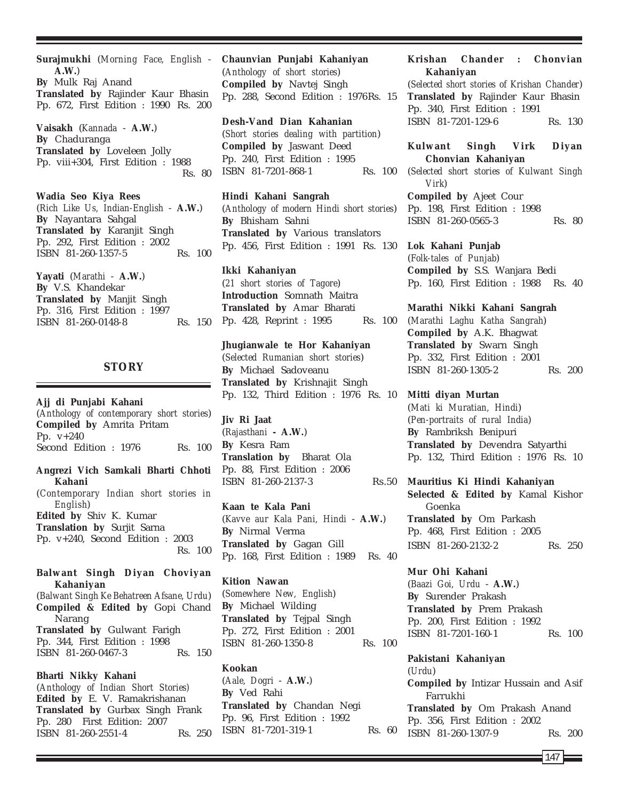**Surajmukhi** (*Morning Face, English* - **A.W.**) **By** Mulk Raj Anand **Translated by** Rajinder Kaur Bhasin Pp. 672, First Edition : 1990 Rs. 200

**Vaisakh** (*Kannada* - **A.W.**) **By** Chaduranga **Translated by** Loveleen Jolly Pp. viii+304, First Edition : 1988 Rs. 80

**Wadia Seo Kiya Rees** (*Rich Like Us, Indian-English* - **A.W.**) **By** Nayantara Sahgal **Translated by** Karanjit Singh Pp. 292, First Edition : 2002 ISBN 81-260-1357-5 Rs. 100

**Yayati** (*Marathi* - **A.W.**) **By** V.S. Khandekar **Translated by** Manjit Singh Pp. 316, First Edition : 1997 ISBN 81-260-0148-8 Rs. 150

## **STORY**

**Ajj di Punjabi Kahani** (*Anthology of contemporary short stories*) **Compiled by** Amrita Pritam Pp. v+240 Second Edition : 1976 Rs. 100

**Angrezi Vich Samkali Bharti Chhoti Kahani** (*Contemporary Indian short stories in English*)

**Edited by** Shiv K. Kumar **Translation by** Surjit Sarna Pp. v+240, Second Edition : 2003 Rs. 100

**Balwant Singh Diyan Choviyan Kahaniyan** (*Balwant Singh Ke Behatreen Afsane, Urdu*) **Compiled & Edited by** Gopi Chand Narang **Translated by** Gulwant Farigh Pp. 344, First Edition : 1998 ISBN 81-260-0467-3 Rs. 150

## **Bharti Nikky Kahani**

(*Anthology of Indian Short Stories)* **Edited by** E. V. Ramakrishanan **Translated by** Gurbax Singh Frank Pp. 280 First Edition: 2007 ISBN 81-260-2551-4 Rs. 250 **Chaunvian Punjabi Kahaniyan** (*Anthology of short stories*) **Compiled by** Navtej Singh Pp. 288, Second Edition : 1976Rs. 15

**Desh-Vand Dian Kahanian** (*Short stories dealing with partition*) **Compiled by** Jaswant Deed Pp. 240, First Edition : 1995 ISBN 81-7201-868-1 Rs. 100

**Hindi Kahani Sangrah** (*Anthology of modern Hindi short stories*) **By** Bhisham Sahni **Translated by** Various translators Pp. 456, First Edition : 1991 Rs. 130

**Ikki Kahaniyan** (*21 short stories of Tagore*) **Introduction** Somnath Maitra **Translated by** Amar Bharati Pp. 428, Reprint : 1995 Rs. 100

**Jhugianwale te Hor Kahaniyan** (*Selected Rumanian short stories*) **By** Michael Sadoveanu **Translated by** Krishnajit Singh Pp. 132, Third Edition : 1976 Rs. 10

**Jiv Ri Jaat** (*Rajasthani* **- A.W.**) **By** Kesra Ram **Translation by** Bharat Ola Pp. 88, First Edition : 2006 ISBN 81-260-2137-3

**Kaan te Kala Pani** (*Kavve aur Kala Pani, Hindi* - **A.W.**) **By** Nirmal Verma **Translated by** Gagan Gill Pp. 168, First Edition : 1989 Rs. 40

**Kition Nawan** (*Somewhere New, English*) **By** Michael Wilding **Translated by** Tejpal Singh Pp. 272, First Edition : 2001 ISBN 81-260-1350-8 Rs. 100

## **Kookan**

(*Aale, Dogri* - **A.W.**) **By** Ved Rahi **Translated by** Chandan Negi Pp. 96, First Edition : 1992 ISBN 81-7201-319-1 Rs. 60

## **Krishan Chander : Chonvian Kahaniyan**

(*Selected short stories of Krishan Chander*) **Translated by** Rajinder Kaur Bhasin Pp. 340, First Edition : 1991 ISBN 81-7201-129-6 Rs. 130

## **Kulwant Singh Virk Diyan Chonvian Kahaniyan**

(*Selected short stories of Kulwant Singh Virk*) **Compiled by** Ajeet Cour

Pp. 198, First Edition : 1998 ISBN 81-260-0565-3 Rs. 80

## **Lok Kahani Punjab**

(*Folk-tales of Punjab*) **Compiled by** S.S. Wanjara Bedi Pp. 160, First Edition : 1988 Rs. 40

#### **Marathi Nikki Kahani Sangrah**

(*Marathi Laghu Katha Sangrah*) **Compiled by** A.K. Bhagwat **Translated by** Swarn Singh Pp. 332, First Edition : 2001 ISBN 81-260-1305-2 Rs. 200

**Mitti diyan Murtan** (*Mati ki Muratian, Hindi*) (*Pen-portraits of rural India*) **By** Rambriksh Benipuri **Translated by** Devendra Satyarthi Pp. 132, Third Edition : 1976 Rs. 10

**Mauritius Ki Hindi Kahaniyan Selected & Edited by** Kamal Kishor Goenka **Translated by** Om Parkash Pp. 468, First Edition : 2005 ISBN 81-260-2132-2 Rs. 250

## **Mur Ohi Kahani**

(*Baazi Goi, Urdu* - **A.W.**) **By** Surender Prakash **Translated by** Prem Prakash Pp. 200, First Edition : 1992 ISBN 81-7201-160-1 Rs. 100

**Pakistani Kahaniyan** (*Urdu*) **Compiled by** Intizar Hussain and Asif Farrukhi **Translated by** Om Prakash Anand Pp. 356, First Edition : 2002 ISBN 81-260-1307-9 Rs. 200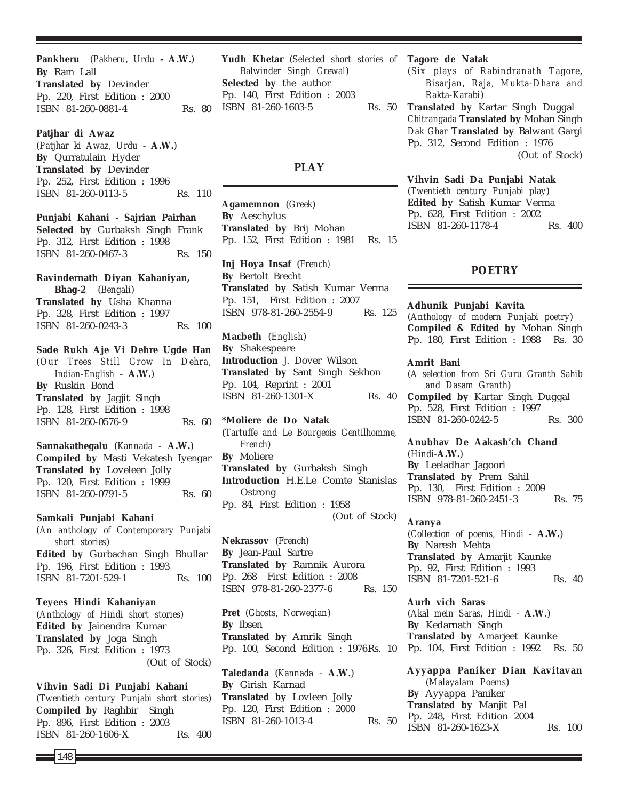**Pankheru** (*Pakheru, Urdu* **- A.W.**) **By** Ram Lall **Translated by** Devinder Pp. 220, First Edition : 2000 ISBN 81-260-0881-4 Rs. 80

**Patjhar di Awaz** (*Patjhar ki Awaz, Urdu* - **A.W.**) **By** Qurratulain Hyder **Translated by** Devinder Pp. 252, First Edition : 1996 ISBN 81-260-0113-5 Rs. 110

**Punjabi Kahani - Sajrian Pairhan Selected by** Gurbaksh Singh Frank Pp. 312, First Edition : 1998 ISBN 81-260-0467-3 Rs. 150

**Ravindernath Diyan Kahaniyan, Bhag-2** (*Bengali*) **Translated by** Usha Khanna Pp. 328, First Edition : 1997 ISBN 81-260-0243-3 Rs. 100

**Sade Rukh Aje Vi Dehre Ugde Han** (*Our Trees Still Grow In Dehra, Indian-English* - **A.W.**) **By** Ruskin Bond **Translated by** Jagjit Singh Pp. 128, First Edition : 1998 ISBN 81-260-0576-9 Rs. 60

**Sannakathegalu** (*Kannada -* **A.W.**) **Compiled by** Masti Vekatesh Iyengar **Translated by** Loveleen Jolly Pp. 120, First Edition : 1999 ISBN 81-260-0791-5 Rs. 60

**Samkali Punjabi Kahani** (*An anthology of Contemporary Punjabi short stories*) **Edited by** Gurbachan Singh Bhullar Pp. 196, First Edition : 1993 ISBN 81-7201-529-1 Rs. 100

**Teyees Hindi Kahaniyan** (*Anthology of Hindi short stories*) **Edited by** Jainendra Kumar **Translated by** Joga Singh Pp. 326, First Edition : 1973 (Out of Stock)

**Vihvin Sadi Di Punjabi Kahani** (*Twentieth century Punjabi short stories*) **Compiled by** Raghbir Singh Pp. 896, First Edition : 2003 ISBN 81-260-1606-X Rs. 400

**Yudh Khetar** (*Selected short stories of* **Tagore de Natak** *Balwinder Singh Grewal*) **Selected by** the author Pp. 140, First Edition : 2003 ISBN 81-260-1603-5

## **PLAY**

**Agamemnon** (*Greek*) **By** Aeschylus **Translated by** Brij Mohan Pp. 152, First Edition : 1981 Rs. 15

**Inj Hoya Insaf** (*French)* **By** Bertolt Brecht **Translated by** Satish Kumar Verma Pp. 151, First Edition : 2007 ISBN 978-81-260-2554-9 Rs. 125

**Macbeth** (*English*) **By** Shakespeare **Introduction** J. Dover Wilson **Translated by** Sant Singh Sekhon Pp. 104, Reprint : 2001 ISBN 81-260-1301-X Rs. 40

**\*Moliere de Do Natak** (*Tartuffe and Le Bourgeois Gentilhomme, French*) **By** Moliere **Translated by** Gurbaksh Singh **Introduction** H.E.Le Comte Stanislas Ostrong Pp. 84, First Edition : 1958 (Out of Stock)

**Nekrassov** (*French)* **By** Jean-Paul Sartre **Translated by** Ramnik Aurora Pp. 268 First Edition : 2008 ISBN 978-81-260-2377-6 Rs. 150

**Pret** (*Ghosts, Norwegian*) **By** Ibsen **Translated by** Amrik Singh Pp. 100, Second Edition : 1976Rs. 10

**Taledanda** (*Kannada* - **A.W.**) **By** Girish Karnad **Translated by** Lovleen Jolly Pp. 120, First Edition : 2000 ISBN 81-260-1013-4 Rs. 50

(*Six plays of Rabindranath Tagore*, *Bisarjan, Raja, Mukta-Dhara and Rakta-Karabi*)

**Translated by** Kartar Singh Duggal *Chitrangada* **Translated by** Mohan Singh *Dak Ghar* **Translated by** Balwant Gargi Pp. 312, Second Edition : 1976 (Out of Stock)

> **Vihvin Sadi Da Punjabi Natak** (*Twentieth century Punjabi play*) **Edited by** Satish Kumar Verma Pp. 628, First Edition : 2002 ISBN 81-260-1178-4 Rs. 400

## **POETRY**

**Adhunik Punjabi Kavita** (*Anthology of modern Punjabi poetry*) **Compiled & Edited by** Mohan Singh Pp. 180, First Edition : 1988 Rs. 30

**Amrit Bani** (*A selection from Sri Guru Granth Sahib and Dasam Granth*) **Compiled by** Kartar Singh Duggal Pp. 528, First Edition : 1997 ISBN 81-260-0242-5 Rs. 300

**Anubhav De Aakash'ch Chand** (*Hindi-***A.W.**) **By** Leeladhar Jagoori **Translated by** Prem Sahil Pp. 130, First Edition : 2009 ISBN 978-81-260-2451-3 Rs. 75

**Aranya** (*Collection of poems, Hindi* - **A.W.**) **By** Naresh Mehta **Translated by** Amarjit Kaunke Pp. 92, First Edition : 1993 ISBN 81-7201-521-6 Rs. 40

**Aurh vich Saras** (*Akal mein Saras, Hindi* - **A.W.**) **By** Kedarnath Singh **Translated by** Amarjeet Kaunke Pp. 104, First Edition : 1992 Rs. 50

**Ayyappa Paniker Dian Kavitavan** (*Malayalam Poems*) **By** Ayyappa Paniker **Translated by** Manjit Pal Pp. 248, First Edition 2004 ISBN 81-260-1623-X Rs. 100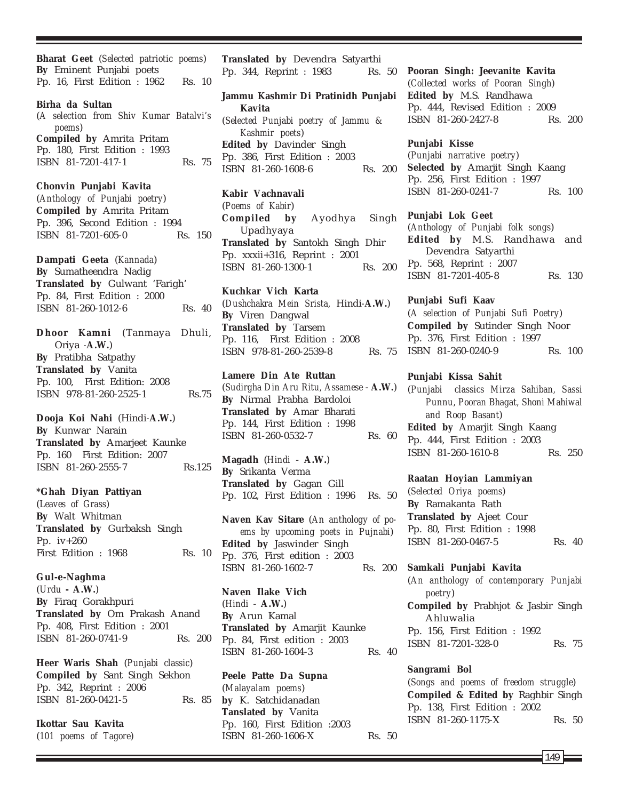**Bharat Geet** (*Selected patriotic poems*) **By** Eminent Punjabi poets Pp. 16, First Edition : 1962 Rs. 10

**Birha da Sultan** (*A selection from Shiv Kumar Batalvi's poems*) **Compiled by** Amrita Pritam Pp. 180, First Edition : 1993 ISBN 81-7201-417-1 Rs. 75

**Chonvin Punjabi Kavita** (*Anthology of Punjabi poetry*)

**Compiled by** Amrita Pritam Pp. 396, Second Edition : 1994 ISBN 81-7201-605-0 Rs. 150

**Dampati Geeta** (*Kannada*) **By** Sumatheendra Nadig **Translated by** Gulwant 'Farigh' Pp. 84, First Edition : 2000 ISBN 81-260-1012-6 Rs. 40

**Dhoor Kamni** (Tanmaya Dhuli, Oriya *-***A.W.**) **By** Pratibha Satpathy **Translated by** Vanita Pp. 100, First Edition: 2008 ISBN 978-81-260-2525-1 Rs.75

**Dooja Koi Nahi** (Hindi*-***A.W.**) **By** Kunwar Narain **Translated by** Amarjeet Kaunke Pp. 160 First Edition: 2007 ISBN 81-260-2555-7 Rs.125

**\*Ghah Diyan Pattiyan** (*Leaves of Grass*)

**By** Walt Whitman **Translated by** Gurbaksh Singh Pp. iv+260 First Edition : 1968 Rs. 10

**Gul-e-Naghma** (*Urdu* **- A.W.**) **By** Firaq Gorakhpuri **Translated by** Om Prakash Anand Pp. 408, First Edition : 2001 ISBN 81-260-0741-9 Rs. 200

**Heer Waris Shah** (*Punjabi classic*) **Compiled by** Sant Singh Sekhon Pp. 342, Reprint : 2006 ISBN 81-260-0421-5 Rs. 85

**Ikottar Sau Kavita** (*101 poems of Tagore*) **Translated by** Devendra Satyarthi Pp. 344, Reprint : 1983 Rs. 50

**Jammu Kashmir Di Pratinidh Punjabi Kavita** (*Selected Punjabi poetry of Jammu & Kashmir poets*) **Edited by** Davinder Singh Pp. 386, First Edition : 2003 ISBN 81-260-1608-6 Rs. 200

**Kabir Vachnavali**

(*Poems of Kabir*) **Compiled by** Ayodhya Singh Upadhyaya **Translated by** Santokh Singh Dhir Pp. xxxii+316, Reprint : 2001 ISBN 81-260-1300-1 Rs. 200

**Kuchkar Vich Karta** (*Dushchakra Mein Srista,* Hindi*-***A.W.**) **By** Viren Dangwal **Translated by** Tarsem Pp. 116, First Edition : 2008 ISBN 978-81-260-2539-8 Rs. 75

**Lamere Din Ate Ruttan** (*Sudirgha Din Aru Ritu, Assamese* - **A.W.**) **By** Nirmal Prabha Bardoloi **Translated by** Amar Bharati Pp. 144, First Edition : 1998 ISBN 81-260-0532-7 Rs. 60

**Magadh** (*Hindi* - **A.W.**) **By** Srikanta Verma **Translated by** Gagan Gill Pp. 102, First Edition : 1996 Rs. 50

**Naven Kav Sitare** (*An anthology of poems by upcoming poets in Pujnabi*) **Edited by** Jaswinder Singh Pp. 376, First edition : 2003 ISBN 81-260-1602-7 Rs. 200

**Naven Ilake Vich** (*Hindi* - **A.W.**) **By** Arun Kamal **Translated by** Amarjit Kaunke Pp. 84, First edition : 2003 ISBN 81-260-1604-3 Rs. 40

**Peele Patte Da Supna** (*Malayalam poems*) **by** K. Satchidanadan **Tanslated by** Vanita Pp. 160, First Edition :2003 ISBN 81-260-1606-X Rs. 50 **Pooran Singh: Jeevanite Kavita** (*Collected works of Pooran Singh*) **Edited by** M.S. Randhawa Pp. 444, Revised Edition : 2009 ISBN 81-260-2427-8 Rs. 200

## **Punjabi Kisse**

(*Punjabi narrative poetry*) **Selected by** Amarjit Singh Kaang Pp. 256, First Edition : 1997 ISBN 81-260-0241-7 Rs. 100

**Punjabi Lok Geet**

(*Anthology of Punjabi folk songs*) **Edited by** M.S. Randhawa and Devendra Satyarthi Pp. 568, Reprint : 2007 ISBN 81-7201-405-8 Rs. 130

**Punjabi Sufi Kaav**

(*A selection of Punjabi Sufi Poetry*) **Compiled by** Sutinder Singh Noor Pp. 376, First Edition : 1997 ISBN 81-260-0240-9 Rs. 100

## **Punjabi Kissa Sahit**

(*Punjabi classics Mirza Sahiban, Sassi Punnu, Pooran Bhagat, Shoni Mahiwal and Roop Basant*) **Edited by** Amarjit Singh Kaang Pp. 444, First Edition : 2003 ISBN 81-260-1610-8 Rs. 250

## **Raatan Hoyian Lammiyan**

(*Selected Oriya poems*) **By** Ramakanta Rath **Translated by** Ajeet Cour Pp. 80, First Edition : 1998 ISBN 81-260-0467-5 Rs. 40

**Samkali Punjabi Kavita**

(*An anthology of contemporary Punjabi poetry*) **Compiled by** Prabhjot & Jasbir Singh Ahluwalia Pp. 156, First Edition : 1992 ISBN 81-7201-328-0 Rs. 75

## **Sangrami Bol**

(*Songs and poems of freedom struggle*) **Compiled & Edited by** Raghbir Singh Pp. 138, First Edition : 2002 ISBN 81-260-1175-X Rs. 50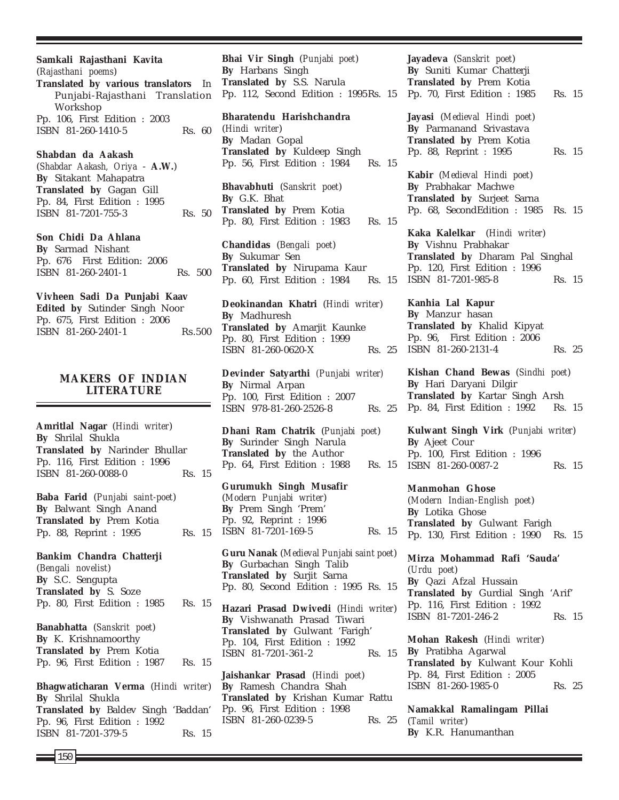**Samkali Rajasthani Kavita** (*Rajasthani poems*) **Translated by various translators** In Punjabi-Rajasthani Translation Workshop Pp. 106, First Edition : 2003 ISBN 81-260-1410-5 Rs. 60 **Shabdan da Aakash** (*Shabdar Aakash, Oriya* - **A.W.**) **By** Sitakant Mahapatra **Translated by** Gagan Gill Pp. 84, First Edition : 1995 ISBN 81-7201-755-3 Rs. 50

**Son Chidi Da Ahlana By** Sarmad Nishant Pp. 676 First Edition: 2006 ISBN 81-260-2401-1 Rs. 500

**Vivheen Sadi Da Punjabi Kaav Edited by** Sutinder Singh Noor Pp. 675, First Edition : 2006 ISBN 81-260-2401-1 Rs.500

## **MAKERS OF INDIAN LITERATURE**

**Amritlal Nagar** (*Hindi writer*) **By** Shrilal Shukla **Translated by** Narinder Bhullar Pp. 116, First Edition : 1996 ISBN 81-260-0088-0 Rs. 15

**Baba Farid** (*Punjabi saint-poet*) **By** Balwant Singh Anand **Translated by** Prem Kotia Pp. 88, Reprint : 1995 Rs. 15

**Bankim Chandra Chatterji** (*Bengali novelist*) **By** S.C. Sengupta **Translated by** S. Soze Pp. 80, First Edition : 1985 Rs. 15 **Banabhatta** (*Sanskrit poet*) **By** K. Krishnamoorthy **Translated by** Prem Kotia Pp. 96, First Edition : 1987 Rs. 15

**Bhagwaticharan Verma** (*Hindi writer*) **By** Shrilal Shukla **Translated by** Baldev Singh 'Baddan' Pp. 96, First Edition : 1992 ISBN 81-7201-379-5 Rs. 15

**Bhai Vir Singh** (*Punjabi poet*) **By** Harbans Singh **Translated by** S.S. Narula Pp. 112, Second Edition : 1995Rs. 15

**Bharatendu Harishchandra** (*Hindi writer*) **By** Madan Gopal **Translated by** Kuldeep Singh Pp. 56, First Edition : 1984 Rs. 15

**Bhavabhuti** (*Sanskrit poet*) **By** G.K. Bhat **Translated by** Prem Kotia Pp. 80, First Edition : 1983 Rs. 15

**Chandidas** (*Bengali poet*) **By** Sukumar Sen **Translated by** Nirupama Kaur Pp. 60, First Edition : 1984

**Deokinandan Khatri** (*Hindi writer*) **By** Madhuresh **Translated by** Amarjit Kaunke Pp. 80, First Edition : 1999 ISBN 81-260-0620-X Rs. 25

**Devinder Satyarthi** *(Punjabi writer)* **By** Nirmal Arpan Pp. 100, First Edition : 2007 ISBN 978-81-260-2526-8 Rs. 25

**Dhani Ram Chatrik** (*Punjabi poet*) **By** Surinder Singh Narula **Translated by** the Author Pp. 64, First Edition : 1988 Rs. 15

**Gurumukh Singh Musafir** (*Modern Punjabi writer*) **By** Prem Singh 'Prem' Pp. 92, Reprint : 1996 ISBN 81-7201-169-5 Rs. 15

**Guru Nanak** (*Medieval Punjabi saint poet*) **By** Gurbachan Singh Talib **Translated by** Surjit Sarna Pp. 80, Second Edition : 1995 Rs. 15

**Hazari Prasad Dwivedi** (*Hindi writer*) **By** Vishwanath Prasad Tiwari **Translated by** Gulwant 'Farigh' Pp. 104, First Edition : 1992 ISBN 81-7201-361-2 Rs. 15

**Jaishankar Prasad** (*Hindi poet*) **By** Ramesh Chandra Shah **Translated by** Krishan Kumar Rattu Pp. 96, First Edition : 1998 ISBN 81-260-0239-5 Rs. 25 **Jayadeva** (*Sanskrit poet*) **By** Suniti Kumar Chatterji **Translated by** Prem Kotia Pp. 70, First Edition : 1985 Rs. 15

**Jayasi** (*Medieval Hindi poet*) **By** Parmanand Srivastava **Translated by** Prem Kotia Pp. 88, Reprint : 1995 Rs. 15

**Kabir** (*Medieval Hindi poet*) **By** Prabhakar Machwe **Translated by** Surjeet Sarna Pp. 68, SecondEdition : 1985 Rs. 15

**Kaka Kalelkar** (*Hindi writer*) **By** Vishnu Prabhakar **Translated by** Dharam Pal Singhal Pp. 120, First Edition : 1996 Rs. 15 ISBN 81-7201-985-8 Rs. 15

> **Kanhia Lal Kapur By** Manzur hasan **Translated by** Khalid Kipyat Pp. 96, First Edition : 2006 ISBN 81-260-2131-4 Rs. 25

> **Kishan Chand Bewas** (*Sindhi poet*) **By** Hari Daryani Dilgir **Translated by** Kartar Singh Arsh Pp. 84, First Edition : 1992 Rs. 15

> **Kulwant Singh Virk** (*Punjabi writer*) **By** Ajeet Cour Pp. 100, First Edition : 1996 ISBN 81-260-0087-2 Rs. 15

**Manmohan Ghose** (*Modern Indian-English poet*) **By** Lotika Ghose **Translated by** Gulwant Farigh Pp. 130, First Edition : 1990 Rs. 15

**Mirza Mohammad Rafi 'Sauda'** (*Urdu poet*) **By** Qazi Afzal Hussain **Translated by** Gurdial Singh 'Arif' Pp. 116, First Edition : 1992 ISBN 81-7201-246-2 Rs. 15

**Mohan Rakesh** (*Hindi writer*) **By** Pratibha Agarwal **Translated by** Kulwant Kour Kohli Pp. 84, First Edition : 2005 ISBN 81-260-1985-0 Rs. 25

**Namakkal Ramalingam Pillai** (*Tamil writer*) **By** K.R. Hanumanthan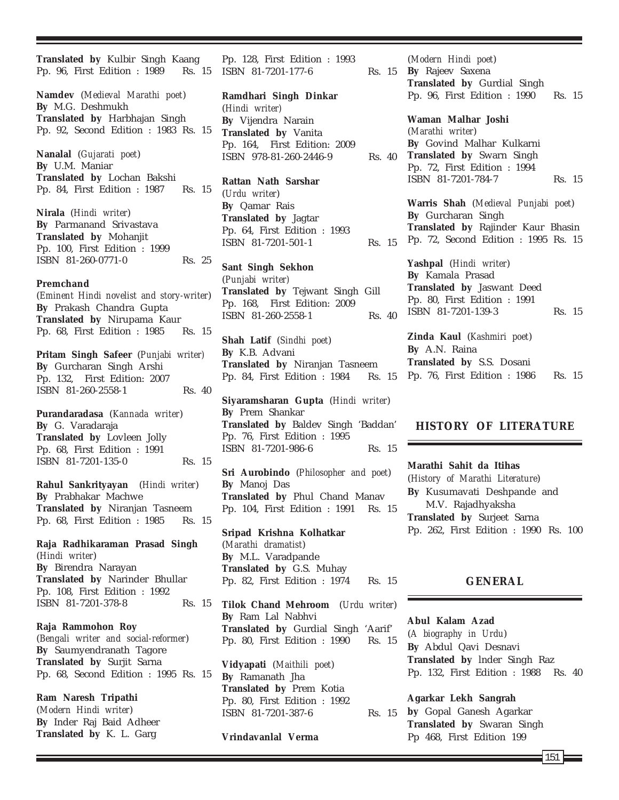**Translated by** Kulbir Singh Kaang Pp. 96, First Edition : 1989 Rs. 15

**Namdev** (*Medieval Marathi poet*) **By** M.G. Deshmukh **Translated by** Harbhajan Singh Pp. 92, Second Edition : 1983 Rs. 15

**Nanalal** (*Gujarati poet*) **By** U.M. Maniar **Translated by** Lochan Bakshi Pp. 84, First Edition : 1987 Rs. 15

**Nirala** (*Hindi writer*) **By** Parmanand Srivastava **Translated by** Mohanjit Pp. 100, First Edition : 1999 ISBN 81-260-0771-0 Rs. 25

#### **Premchand**

(*Eminent Hindi novelist and story-writer*) **By** Prakash Chandra Gupta **Translated by** Nirupama Kaur Pp. 68, First Edition : 1985 Rs. 15

**Pritam Singh Safeer** (*Punjabi writer)* **By** Gurcharan Singh Arshi Pp. 132, First Edition: 2007 ISBN 81-260-2558-1 Rs. 40

**Purandaradasa** (*Kannada writer*) **By** G. Varadaraja **Translated by** Lovleen Jolly Pp. 68, First Edition : 1991 ISBN 81-7201-135-0 Rs. 15

**Rahul Sankrityayan** (*Hindi writer*) **By** Prabhakar Machwe **Translated by** Niranjan Tasneem Pp. 68, First Edition : 1985 Rs. 15

**Raja Radhikaraman Prasad Singh** (*Hindi writer*) **By** Birendra Narayan **Translated by** Narinder Bhullar Pp. 108, First Edition : 1992 ISBN 81-7201-378-8 Rs. 15

**Raja Rammohon Roy** (*Bengali writer and social-reformer*) **By** Saumyendranath Tagore **Translated by** Surjit Sarna Pp. 68, Second Edition : 1995 Rs. 15

**Ram Naresh Tripathi** (*Modern Hindi writer*) **By** Inder Raj Baid Adheer **Translated by** K. L. Garg

Pp. 128, First Edition : 1993 ISBN 81-7201-177-6

**Ramdhari Singh Dinkar** (*Hindi writer)* **By** Vijendra Narain **Translated by** Vanita Pp. 164, First Edition: 2009 ISBN 978-81-260-2446-9

**Rattan Nath Sarshar** (*Urdu writer*) **By** Qamar Rais **Translated by** Jagtar Pp. 64, First Edition : 1993 ISBN 81-7201-501-1 Rs. 15

**Sant Singh Sekhon** (*Punjabi writer)* **Translated by** Tejwant Singh Gill Pp. 168, First Edition: 2009 ISBN 81-260-2558-1 Rs. 40

**Shah Latif** (*Sindhi poet*) **By** K.B. Advani **Translated by** Niranjan Tasneem Pp. 84, First Edition : 1984 Rs. 15

**Siyaramsharan Gupta** (*Hindi writer*) **By** Prem Shankar **Translated by** Baldev Singh 'Baddan' Pp. 76, First Edition : 1995 ISBN 81-7201-986-6 Rs. 15

**Sri Aurobindo** (*Philosopher and poet*) **By** Manoj Das **Translated by** Phul Chand Manav Pp. 104, First Edition : 1991 Rs. 15

**Sripad Krishna Kolhatkar** (*Marathi dramatist*) **By** M.L. Varadpande **Translated by** G.S. Muhay Pp. 82, First Edition : 1974 Rs. 15

**Tilok Chand Mehroom** (*Urdu writer*) **By** Ram Lal Nabhvi **Translated by** Gurdial Singh 'Aarif' Pp. 80, First Edition : 1990 Rs. 15

**Vidyapati** (*Maithili poet*) **By** Ramanath Jha **Translated by** Prem Kotia Pp. 80, First Edition : 1992 ISBN 81-7201-387-6 Rs. 15

**Vrindavanlal Verma**

(*Modern Hindi poet*) **By** Rajeev Saxena **Translated by** Gurdial Singh Pp. 96, First Edition : 1990 Rs. 15

**Waman Malhar Joshi** (*Marathi writer*) **By** Govind Malhar Kulkarni **Translated by** Swarn Singh Pp. 72, First Edition : 1994 ISBN 81-7201-784-7 Rs. 15

> **Warris Shah** (*Medieval Punjabi poet*) **By** Gurcharan Singh **Translated by** Rajinder Kaur Bhasin Pp. 72, Second Edition : 1995 Rs. 15

**Yashpal** (*Hindi writer*) **By** Kamala Prasad **Translated by** Jaswant Deed Pp. 80, First Edition : 1991 ISBN 81-7201-139-3 Rs. 15

**Zinda Kaul** (*Kashmiri poet*) **By** A.N. Raina **Translated by** S.S. Dosani Pp. 76, First Edition : 1986 Rs. 15

## **HISTORY OF LITERATURE**

**Marathi Sahit da Itihas** (*History of Marathi Literature*) **By** Kusumavati Deshpande and M.V. Rajadhyaksha **Translated by** Surjeet Sarna Pp. 262, First Edition : 1990 Rs. 100

## **GENERAL**

#### **Abul Kalam Azad**

(*A biography in Urdu*) **By** Abdul Qavi Desnavi **Translated by** lnder Singh Raz Pp. 132, First Edition : 1988 Rs. 40

**Agarkar Lekh Sangrah by** Gopal Ganesh Agarkar **Translated by** Swaran Singh Pp 468, First Edition 199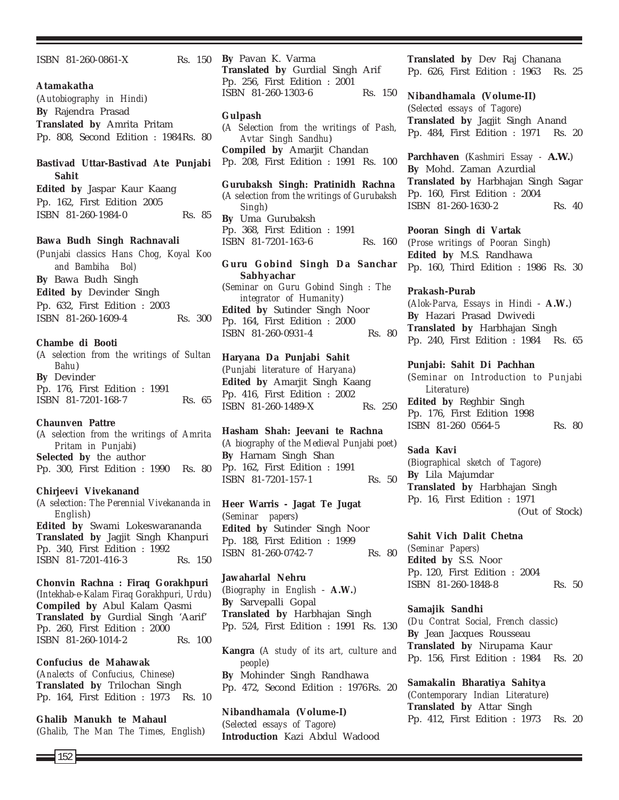ISBN 81-260-0861-X Rs. 150

## **Atamakatha**

(*Autobiography in Hindi*) **By** Rajendra Prasad **Translated by** Amrita Pritam Pp. 808, Second Edition : 1984Rs. 80

## **Bastivad Uttar-Bastivad Ate Punjabi Sahit**

**Edited by** Jaspar Kaur Kaang Pp. 162, First Edition 2005 ISBN 81-260-1984-0 Rs. 85

## **Bawa Budh Singh Rachnavali**

(*Punjabi classics Hans Chog, Koyal Koo and Bambiha Bol)* **By** Bawa Budh Singh **Edited by** Devinder Singh Pp. 632, First Edition : 2003 ISBN 81-260-1609-4 Rs. 300

#### **Chambe di Booti**

(*A selection from the writings of Sultan Bahu*) **By** Devinder Pp. 176, First Edition : 1991 ISBN 81-7201-168-7 Rs. 65

## **Chaunven Pattre**

(*A selection from the writings of Amrita Pritam in Punjabi*) **Selected by** the author Pp. 300, First Edition : 1990 Rs. 80

## **Chirjeevi Vivekanand**

(*A selection: The Perennial Vivekananda in English*) **Edited by** Swami Lokeswarananda **Translated by** Jagjit Singh Khanpuri Pp. 340, First Edition : 1992 ISBN 81-7201-416-3 Rs. 150

**Chonvin Rachna : Firaq Gorakhpuri** (*Intekhab-e-Kalam Firaq Gorakhpuri, Urdu*) **Compiled by** Abul Kalam Qasmi **Translated by** Gurdial Singh 'Aarif' Pp. 260, First Edition : 2000 ISBN 81-260-1014-2 Rs. 100

**Confucius de Mahawak**

(*Analects of Confucius, Chinese*) **Translated by** Trilochan Singh Pp. 164, First Edition : 1973 Rs. 10

**Ghalib Manukh te Mahaul** (*Ghalib, The Man The Times, English*)

**By** Pavan K. Varma **Translated by** Gurdial Singh Arif Pp. 256, First Edition : 2001 ISBN 81-260-1303-6 Rs. 150

## **Gulpash**

(*A Selection from the writings of Pash, Avtar Singh Sandhu*) **Compiled by** Amarjit Chandan Pp. 208, First Edition : 1991 Rs. 100

## **Gurubaksh Singh: Pratinidh Rachna**

(*A selection from the writings of Gurubaksh Singh*) **By** Uma Gurubaksh Pp. 368, First Edition : 1991 ISBN 81-7201-163-6 Rs. 160

**Guru Gobind Singh Da Sanchar Sabhyachar** (*Seminar on Guru Gobind Singh : The integrator of Humanity*) **Edited by** Sutinder Singh Noor Pp. 164, First Edition : 2000 ISBN 81-260-0931-4 Rs. 80

## **Haryana Da Punjabi Sahit**

(*Punjabi literature of Haryana*) **Edited by** Amarjit Singh Kaang Pp. 416, First Edition : 2002 ISBN 81-260-1489-X Rs. 250

**Hasham Shah: Jeevani te Rachna** (*A biography of the Medieval Punjabi poet*) **By** Harnam Singh Shan Pp. 162, First Edition : 1991 ISBN 81-7201-157-1 Rs. 50

**Heer Warris - Jagat Te Jugat** (*Seminar papers*) **Edited by** Sutinder Singh Noor Pp. 188, First Edition : 1999 ISBN 81-260-0742-7 Rs. 80

**Jawaharlal Nehru** (*Biography in English* - **A.W.**) **By** Sarvepalli Gopal **Translated by** Harbhajan Singh Pp. 524, First Edition : 1991 Rs. 130

**Kangra** (*A study of its art, culture and people*) **By** Mohinder Singh Randhawa Pp. 472, Second Edition : 1976Rs. 20

**Nibandhamala (Volume-I)** (*Selected essays of Tagore*) **Introduction** Kazi Abdul Wadood **Translated by** Dev Raj Chanana Pp. 626, First Edition : 1963 Rs. 25

**Nibandhamala (Volume-II)** (*Selected essays of Tagore*) **Translated by** Jagjit Singh Anand Pp. 484, First Edition : 1971 Rs. 20

**Parchhaven** (*Kashmiri Essay - A.W.*) **By** Mohd. Zaman Azurdial **Translated by** Harbhajan Singh Sagar Pp. 160, First Edition : 2004 ISBN 81-260-1630-2 Rs. 40

**Pooran Singh di Vartak**

(*Prose writings of Pooran Singh*) **Edited by** M.S. Randhawa Pp. 160, Third Edition : 1986 Rs. 30

#### **Prakash-Purab**

(*Alok-Parva, Essays in Hindi* - **A.W.**) **By** Hazari Prasad Dwivedi **Translated by** Harbhajan Singh Pp. 240, First Edition : 1984 Rs. 65

### **Punjabi: Sahit Di Pachhan**

(*Seminar on Introduction to Punjabi Literature*) **Edited by** Reghbir Singh Pp. 176, First Edition 1998 ISBN 81-260 0564-5 Rs. 80

## **Sada Kavi**

(*Biographical sketch of Tagore*) **By** Lila Majumdar **Translated by** Harbhajan Singh Pp. 16, First Edition : 1971 (Out of Stock)

**Sahit Vich Dalit Chetna** *(Seminar Papers)* **Edited by** S.S. Noor Pp. 120, First Edition : 2004 ISBN 81-260-1848-8 Rs. 50

# **Samajik Sandhi**

(*Du Contrat Social, French classic*) **By** Jean Jacques Rousseau **Translated by** Nirupama Kaur Pp. 156, First Edition : 1984 Rs. 20

**Samakalin Bharatiya Sahitya** (*Contemporary Indian Literature*) **Translated by** Attar Singh Pp. 412, First Edition : 1973 Rs. 20